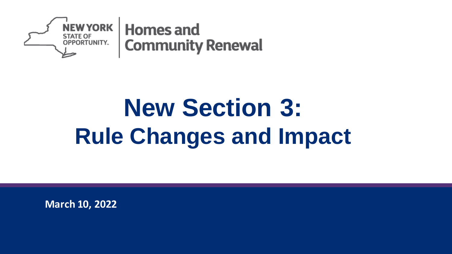

# **New Section 3: Rule Changes and Impact**

**March 10, 2022**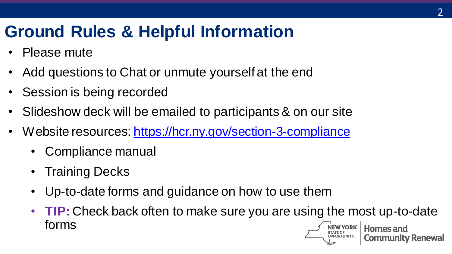### **Ground Rules & Helpful Information**

- Please mute
- Add questions to Chat or unmute yourself at the end
- Session is being recorded
- Slideshow deck will be emailed to participants & on our site
- Website resources:<https://hcr.ny.gov/section-3-compliance>
	- Compliance manual
	- **Training Decks**
	- Up-to-date forms and guidance on how to use them
	- **TIP:** Check back often to make sure you are using the most up-to-date forms**Homes and**

**Community Renewal**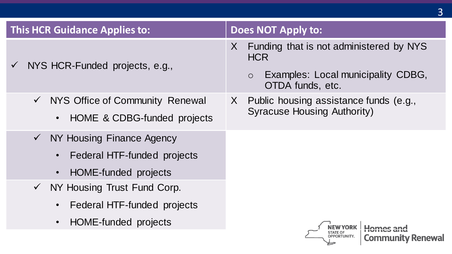| <b>This HCR Guidance Applies to:</b>                                                                                         | <b>Does NOT Apply to:</b>                                                                                                       |
|------------------------------------------------------------------------------------------------------------------------------|---------------------------------------------------------------------------------------------------------------------------------|
| NYS HCR-Funded projects, e.g.,<br>$\sqrt{ }$                                                                                 | Funding that is not administered by NYS<br>X<br><b>HCR</b><br>Examples: Local municipality CDBG,<br>$\circ$<br>OTDA funds, etc. |
| NYS Office of Community Renewal<br>$\checkmark$<br>HOME & CDBG-funded projects<br>$\bullet$                                  | X Public housing assistance funds (e.g.,<br><b>Syracuse Housing Authority)</b>                                                  |
| NY Housing Finance Agency<br>$\checkmark$<br>Federal HTF-funded projects<br>$\bullet$<br>HOME-funded projects<br>$\bullet$   |                                                                                                                                 |
| NY Housing Trust Fund Corp.<br>$\checkmark$<br>Federal HTF-funded projects<br>$\bullet$<br>HOME-funded projects<br>$\bullet$ | <b>Community Renewal</b>                                                                                                        |

3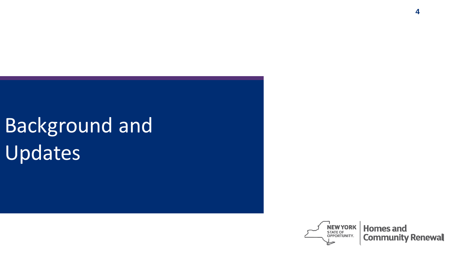# **Background and** Updates

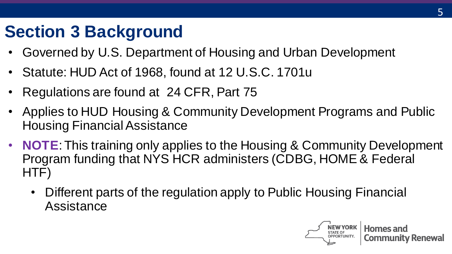### **Section 3 Background**

- Governed by U.S. Department of Housing and Urban Development
- Statute: HUD Act of 1968, found at 12 U.S.C. 1701u
- Regulations are found at 24 CFR, Part 75
- Applies to HUD Housing & Community Development Programs and Public Housing Financial Assistance
- **NOTE**: This training only applies to the Housing & Community Development Program funding that NYS HCR administers (CDBG, HOME & Federal HTF)
	- Different parts of the regulation apply to Public Housing Financial **Assistance**

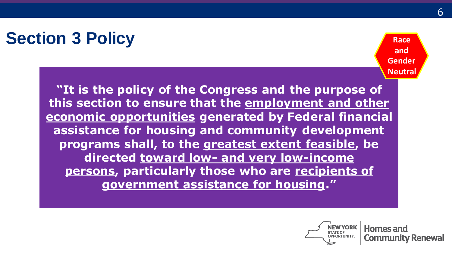### **Section 3 Policy**

**Race and Gender Neutral**

**"It is the policy of the Congress and the purpose of this section to ensure that the employment and other economic opportunities generated by Federal financial assistance for housing and community development programs shall, to the greatest extent feasible, be directed toward low- and very low-income persons, particularly those who are recipients of government assistance for housing."**

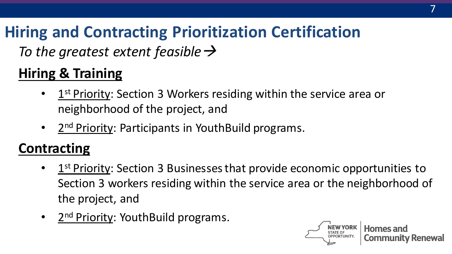### **Hiring and Contracting Prioritization Certification**

*To the greatest extent feasible*→

#### **Hiring & Training**

- 1<sup>st</sup> Priority: Section 3 Workers residing within the service area or neighborhood of the project, and
- 2<sup>nd</sup> Priority: Participants in YouthBuild programs.

#### **Contracting**

- 1<sup>st</sup> Priority: Section 3 Businesses that provide economic opportunities to Section 3 workers residing within the service area or the neighborhood of the project, and
- 2<sup>nd</sup> Priority: YouthBuild programs.

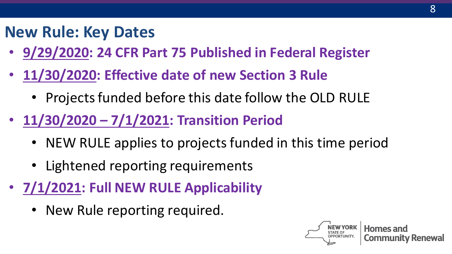#### **New Rule: Key Dates**

- **9/29/2020: 24 CFR Part 75 Published in Federal Register**
- **11/30/2020: Effective date of new Section 3 Rule**
	- Projects funded before this date follow the OLD RULE
- **11/30/2020 – 7/1/2021: Transition Period**
	- NEW RULE applies to projects funded in this time period
	- Lightened reporting requirements
- **7/1/2021: Full NEW RULE Applicability**
	- New Rule reporting required.

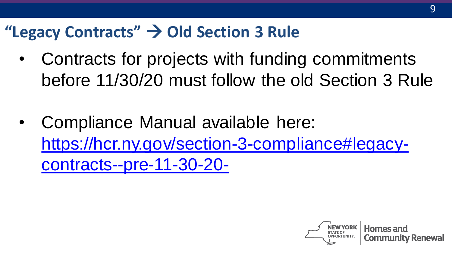### **"Legacy Contracts"** → **Old Section 3 Rule**

- Contracts for projects with funding commitments before 11/30/20 must follow the old Section 3 Rule
- Compliance Manual available here: [https://hcr.ny.gov/section-3-compliance#legacy](https://hcr.ny.gov/section-3-compliance)contracts--pre-11-30-20-

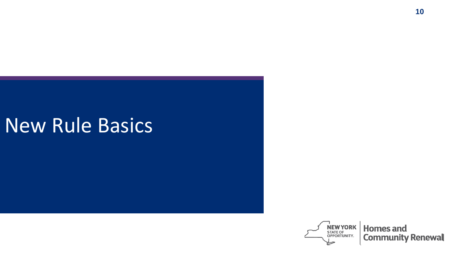### New Rule Basics

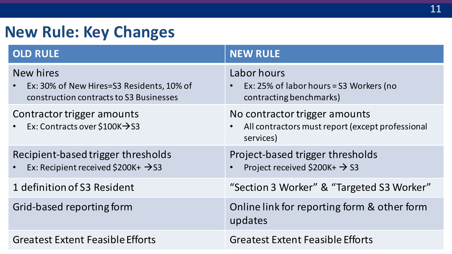#### **New Rule: Key Changes**

| <b>OLD RULE</b>                                                                                                | <b>NEW RULE</b>                                                                                             |
|----------------------------------------------------------------------------------------------------------------|-------------------------------------------------------------------------------------------------------------|
| New hires<br>Ex: 30% of New Hires=S3 Residents, 10% of<br>$\bullet$<br>construction contracts to S3 Businesses | Labor hours<br>Ex: 25% of labor hours = S3 Workers (no<br>contracting benchmarks)                           |
| Contractor trigger amounts<br>Ex: Contracts over \$100K $\rightarrow$ S3                                       | No contractor trigger amounts<br>All contractors must report (except professional<br>$\bullet$<br>services) |
| Recipient-based trigger thresholds<br>Ex: Recipient received \$200K+ $\rightarrow$ S3<br>$\bullet$             | Project-based trigger thresholds<br>Project received \$200K+ $\rightarrow$ S3                               |
| 1 definition of S3 Resident                                                                                    | "Section 3 Worker" & "Targeted S3 Worker"                                                                   |
| Grid-based reporting form                                                                                      | Online link for reporting form & other form<br>updates                                                      |
| <b>Greatest Extent Feasible Efforts</b>                                                                        | <b>Greatest Extent Feasible Efforts</b>                                                                     |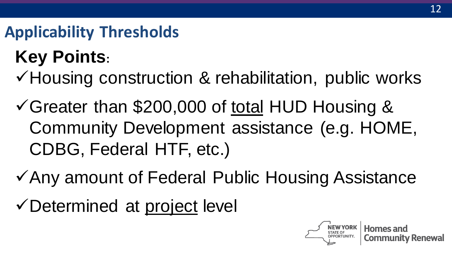#### **Applicability Thresholds**

### **Key Points:**

- ✓Housing construction & rehabilitation, public works
- ✓Greater than \$200,000 of total HUD Housing & Community Development assistance (e.g. HOME, CDBG, Federal HTF, etc.)
- ✓Any amount of Federal Public Housing Assistance
- ✓Determined at project level

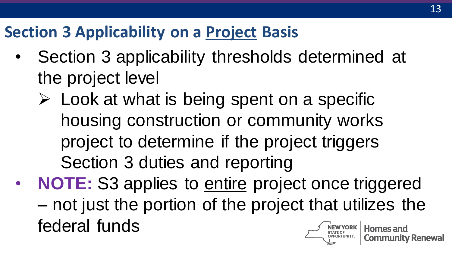### **Section 3 Applicability on a Project Basis**

- Section 3 applicability thresholds determined at the project level
	- $\triangleright$  Look at what is being spent on a specific housing construction or community works project to determine if the project triggers Section 3 duties and reporting
- **NOTE:** S3 applies to **entire** project once triggered – not just the portion of the project that utilizes the federal funds **Homes and**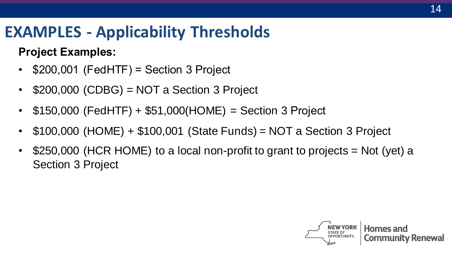#### **EXAMPLES - Applicability Thresholds**

#### **Project Examples:**

- \$200,001 (FedHTF) = Section 3 Project
- $$200,000$  (CDBG) = NOT a Section 3 Project
- $$150,000$  (FedHTF) +  $$51,000(HOME)$  = Section 3 Project
- \$100,000 (HOME) + \$100,001 (State Funds) = NOT a Section 3 Project
- \$250,000 (HCR HOME) to a local non-profit to grant to projects = Not (yet) a Section 3 Project

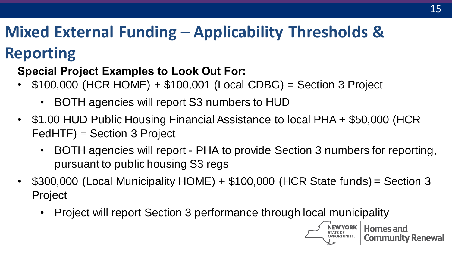### **Mixed External Funding – Applicability Thresholds &**

### **Reporting**

#### **Special Project Examples to Look Out For:**

- \$100,000 (HCR HOME) + \$100,001 (Local CDBG) = Section 3 Project
	- BOTH agencies will report S3 numbers to HUD
- \$1.00 HUD Public Housing Financial Assistance to local PHA + \$50,000 (HCR FedHTF) = Section 3 Project
	- BOTH agencies will report PHA to provide Section 3 numbers for reporting, pursuant to public housing S3 regs
- \$300,000 (Local Municipality HOME) + \$100,000 (HCR State funds) = Section 3 Project
	- Project will report Section 3 performance through local municipality

**Homes and Community Renewal**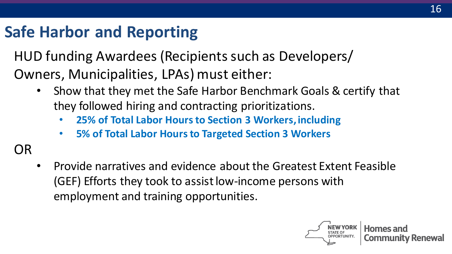#### **Safe Harbor and Reporting**

HUD funding Awardees (Recipients such as Developers/ Owners, Municipalities, LPAs) must either:

- Show that they met the Safe Harbor Benchmark Goals & certify that they followed hiring and contracting prioritizations.
	- **25% of Total Labor Hours to Section 3 Workers,including**
	- **5% of Total Labor Hours to Targeted Section 3 Workers**

OR

• Provide narratives and evidence about the Greatest Extent Feasible (GEF) Efforts they took to assist low-income persons with employment and training opportunities.

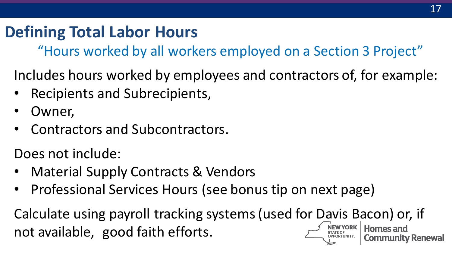### **Defining Total Labor Hours**

"Hours worked by all workers employed on a Section 3 Project"

Includes hours worked by employees and contractors of, for example:

- Recipients and Subrecipients,
- Owner,
- Contractors and Subcontractors.

Does not include:

- Material Supply Contracts & Vendors
- Professional Services Hours (see bonus tip on next page)

Calculate using payroll tracking systems (used for Davis Bacon) or, if not available, good faith efforts.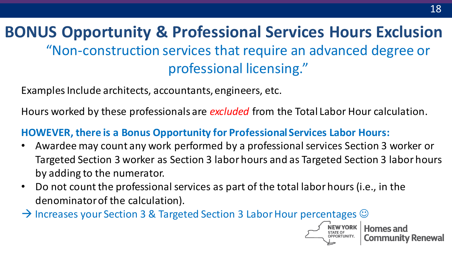**BONUS Opportunity & Professional Services Hours Exclusion**  "Non-construction services that require an advanced degree or professional licensing."

Examples Include architects, accountants, engineers, etc.

Hours worked by these professionals are *excluded* from the Total Labor Hour calculation.

#### **HOWEVER, there is a Bonus Opportunity for Professional Services Labor Hours:**

- Awardee may count any work performed by a professional services Section 3 worker or Targeted Section 3 worker as Section 3 labor hours and as Targeted Section 3 labor hours by adding to the numerator.
- Do not count the professional services as part of the total labor hours (i.e., in the denominator of the calculation).
- $\rightarrow$  Increases your Section 3 & Targeted Section 3 Labor Hour percentages  $\odot$



Community Renewal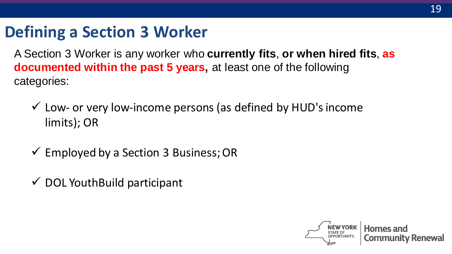#### **Defining a Section 3 Worker**

A Section 3 Worker is any worker who **currently fits**, **or when hired fits**, **as documented within the past 5 years,** at least one of the following categories:

- $\checkmark$  Low- or very low-income persons (as defined by HUD's income limits); OR
- $\checkmark$  Employed by a Section 3 Business; OR
- $\checkmark$  DOL YouthBuild participant

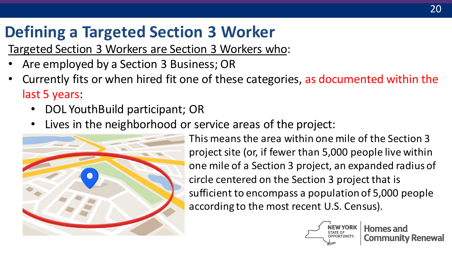### **Defining a Targeted Section 3 Worker**

Targeted Section 3 Workers are Section 3 Workers who:

- Are employed by a Section 3 Business; OR
- Currently fits or when hired fit one of these categories, as documented within the last 5 years:
	- DOL YouthBuild participant; OR
	- Lives in the neighborhood or service areas of the project:



• This means the area within one mile of the Section 3 project site (or, if fewer than 5,000 people live within one mile of a Section 3 project, an expanded radius of circle centered on the Section 3 project that is sufficient to encompass a population of 5,000 people according to the most recent U.S. Census).

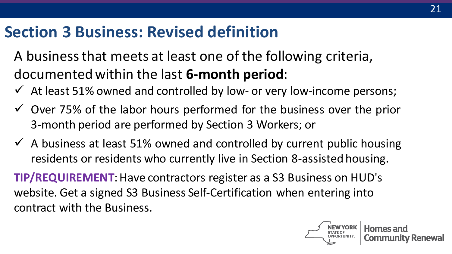#### **Section 3 Business: Revised definition**

- A business that meets at least one of the following criteria, documented within the last **6-month period**:
- $\checkmark$  At least 51% owned and controlled by low- or very low-income persons;
- $\checkmark$  Over 75% of the labor hours performed for the business over the prior 3-month period are performed by Section 3 Workers; or
- $\checkmark$  A business at least 51% owned and controlled by current public housing residents or residents who currently live in Section 8-assisted housing.

**TIP/REQUIREMENT**: Have contractors register as a S3 Business on HUD's website. Get a signed S3 Business Self-Certification when entering into contract with the Business.

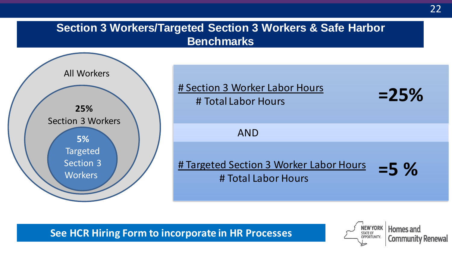#### **Section 3 Workers/Targeted Section 3 Workers & Safe Harbor Benchmarks**



**See HCR Hiring Form to incorporate in HR Processes**

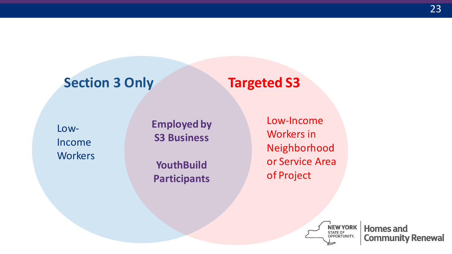#### **Section 3 Only Targeted S3**

Low-Income **Workers**  **Employed by S3 Business**

**YouthBuild Participants** Low-Income Workers in Neighborhood or Service Area of Project



**Homes and Community Renewal**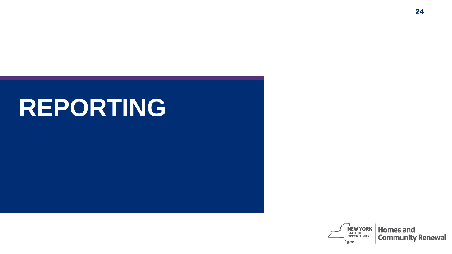# **REPORTING**

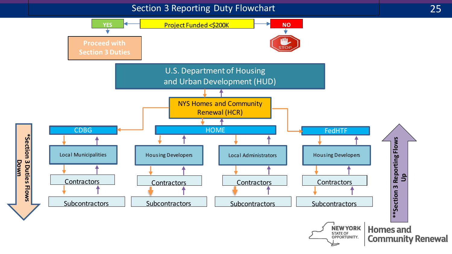#### Section 3 Reporting Duty Flowchart

**\*Section 3 Duties Flows Down**

\*Section 3 Duties Flows

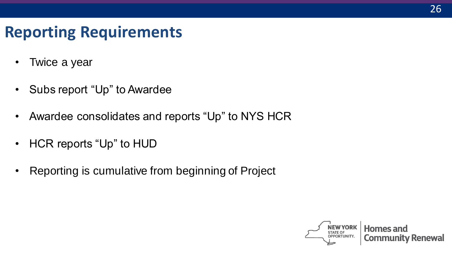#### **Reporting Requirements**

- Twice a year
- Subs report "Up" to Awardee
- Awardee consolidates and reports "Up" to NYS HCR
- HCR reports "Up" to HUD
- Reporting is cumulative from beginning of Project

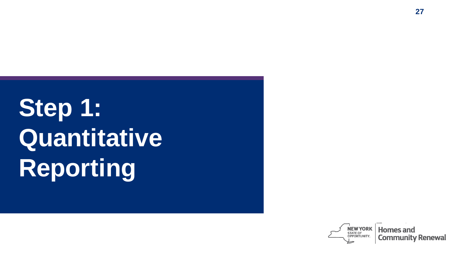# **Step 1: Quantitative Reporting**

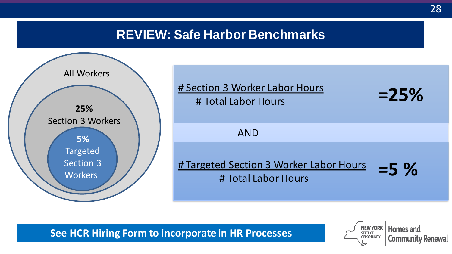#### **REVIEW: Safe Harbor Benchmarks**





**See HCR Hiring Form to incorporate in HR Processes**

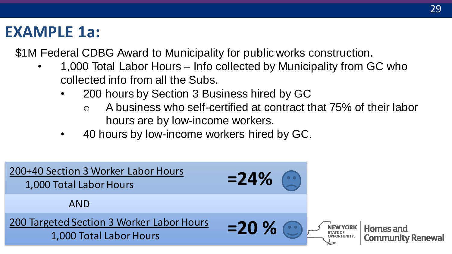#### **EXAMPLE 1a:**

\$1M Federal CDBG Award to Municipality for public works construction.

- 1,000 Total Labor Hours Info collected by Municipality from GC who collected info from all the Subs.
	- 200 hours by Section 3 Business hired by GC
		- o A business who self-certified at contract that 75% of their labor hours are by low-income workers.
	- 40 hours by low-income workers hired by GC.

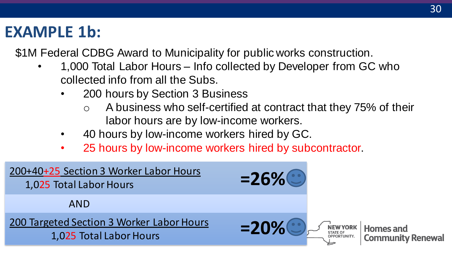#### **EXAMPLE 1b:**

\$1M Federal CDBG Award to Municipality for public works construction.

- 1,000 Total Labor Hours Info collected by Developer from GC who collected info from all the Subs.
	- 200 hours by Section 3 Business
		- o A business who self-certified at contract that they 75% of their labor hours are by low-income workers.
	- 40 hours by low-income workers hired by GC.
	- 25 hours by low-income workers hired by subcontractor.

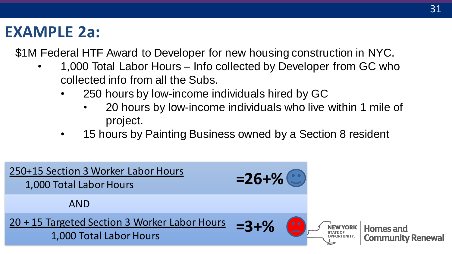#### **EXAMPLE 2a:**

\$1M Federal HTF Award to Developer for new housing construction in NYC.

- 1,000 Total Labor Hours Info collected by Developer from GC who collected info from all the Subs.
	- 250 hours by low-income individuals hired by GC
		- 20 hours by low-income individuals who live within 1 mile of project.
	- 15 hours by Painting Business owned by a Section 8 resident

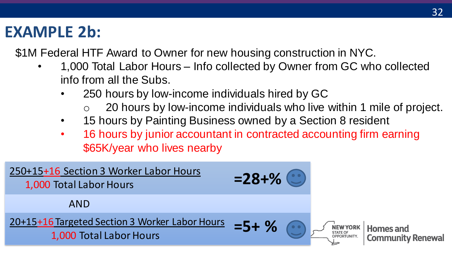#### **EXAMPLE 2b:**

\$1M Federal HTF Award to Owner for new housing construction in NYC.

- 1,000 Total Labor Hours Info collected by Owner from GC who collected info from all the Subs.
	- 250 hours by low-income individuals hired by GC
		- 20 hours by low-income individuals who live within 1 mile of project.
	- 15 hours by Painting Business owned by a Section 8 resident
	- 16 hours by junior accountant in contracted accounting firm earning \$65K/year who lives nearby

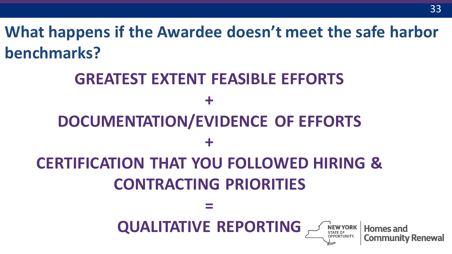**What happens if the Awardee doesn't meet the safe harbor benchmarks?**

### **GREATEST EXTENT FEASIBLE EFFORTS + DOCUMENTATION/EVIDENCE OF EFFORTS + CERTIFICATION THAT YOU FOLLOWED HIRING & CONTRACTING PRIORITIES = QUALITATIVE REPORTING** NEW YORK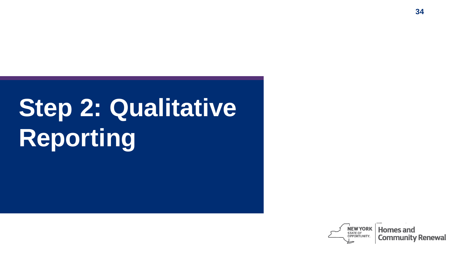# **Step 2: Qualitative Reporting**

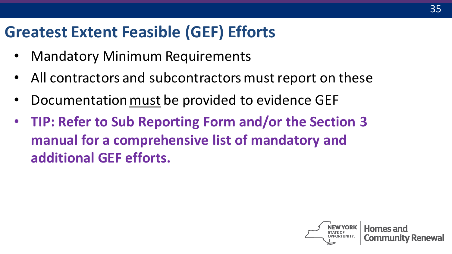#### **Greatest Extent Feasible (GEF) Efforts**

- Mandatory Minimum Requirements
- All contractors and subcontractors must report on these
- Documentation must be provided to evidence GEF
- **TIP: Refer to Sub Reporting Form and/or the Section 3 manual for a comprehensive list of mandatory and additional GEF efforts.**

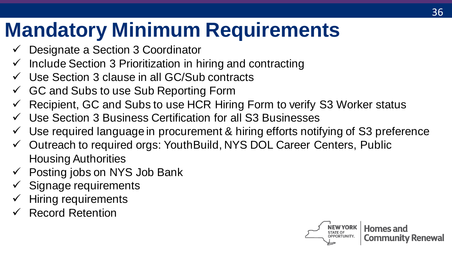# **Mandatory Minimum Requirements**

- Designate a Section 3 Coordinator
- $\checkmark$  Include Section 3 Prioritization in hiring and contracting
- $\checkmark$  Use Section 3 clause in all GC/Sub contracts
- $\checkmark$  GC and Subs to use Sub Reporting Form
- Recipient, GC and Subs to use HCR Hiring Form to verify S3 Worker status
- Use Section 3 Business Certification for all S3 Businesses
- $\checkmark$  Use required language in procurement & hiring efforts notifying of S3 preference
- ✓ Outreach to required orgs: YouthBuild, NYS DOL Career Centers, Public Housing Authorities
- $\checkmark$  Posting jobs on NYS Job Bank
- Signage requirements
- Hiring requirements
- Record Retention

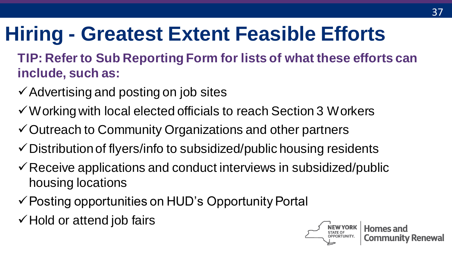# **Hiring - Greatest Extent Feasible Efforts**

- **TIP: Refer to Sub Reporting Form for lists of what these efforts can include, such as:**
- $\checkmark$  Advertising and posting on job sites
- ✓Working with local elected officials to reach Section 3 Workers
- ✓Outreach to Community Organizations and other partners
- $\checkmark$  Distribution of flyers/info to subsidized/public housing residents
- $\checkmark$  Receive applications and conduct interviews in subsidized/public housing locations
- ✓Posting opportunities on HUD's Opportunity Portal
- ✓Hold or attend job fairs

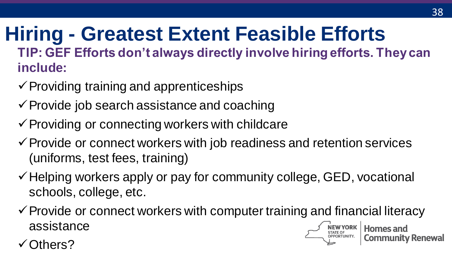#### **Hiring - Greatest Extent Feasible Efforts TIP: GEF Efforts don't always directly involve hiring efforts. They can include:**

- $\checkmark$  Providing training and apprenticeships
- $\checkmark$  Provide job search assistance and coaching
- $\checkmark$  Providing or connecting workers with childcare
- $\checkmark$  Provide or connect workers with job readiness and retention services (uniforms, test fees, training)
- $\checkmark$  Helping workers apply or pay for community college, GED, vocational schools, college, etc.
- $\checkmark$  Provide or connect workers with computer training and financial literacy assistance

Others?

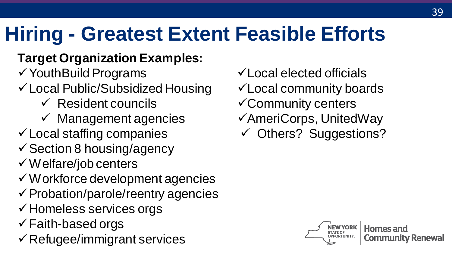# **Hiring - Greatest Extent Feasible Efforts**

#### **Target Organization Examples:**

✓YouthBuild Programs

- ✓Local Public/Subsidized Housing
	- $\checkmark$  Resident councils
	- $\checkmark$  Management agencies
- $\checkmark$  Local staffing companies
- $\checkmark$  Section 8 housing/agency
- ✓Welfare/job centers
- ✓Workforce development agencies
- $\checkmark$  Probation/parole/reentry agencies
- ✓Homeless services orgs
- $\checkmark$  Faith-based orgs
- ✓Refugee/immigrant services
- ✓Local elected officials
- ✓Local community boards
- ✓Community centers
- ✓AmeriCorps, UnitedWay
- ✓ Others? Suggestions?

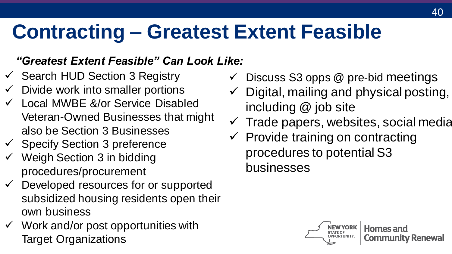# **Contracting – Greatest Extent Feasible**

#### *"Greatest Extent Feasible" Can Look Like:*

- $\checkmark$  Search HUD Section 3 Registry
- $\checkmark$  Divide work into smaller portions
- $\checkmark$  Local MWBE &/or Service Disabled Veteran-Owned Businesses that might also be Section 3 Businesses
- $\checkmark$  Specify Section 3 preference
- Weigh Section 3 in bidding procedures/procurement
- $\checkmark$  Developed resources for or supported subsidized housing residents open their own business
- $\checkmark$  Work and/or post opportunities with Target Organizations
- Discuss S3 opps @ pre-bid meetings
- $\checkmark$  Digital, mailing and physical posting, including @ job site
- $\checkmark$  Trade papers, websites, social media
- Provide training on contracting procedures to potential S3 businesses

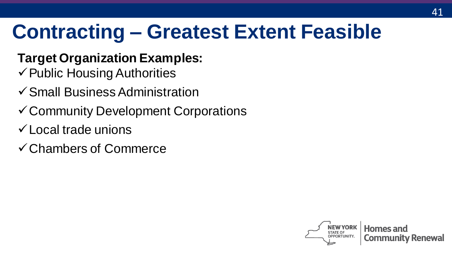## **Contracting – Greatest Extent Feasible**

- **Target Organization Examples:**
- $\checkmark$  Public Housing Authorities
- ✓Small Business Administration
- ✓Community Development Corporations
- ✓Local trade unions
- ✓Chambers of Commerce

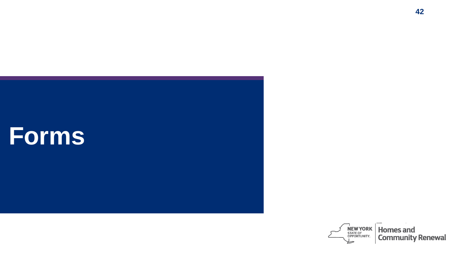

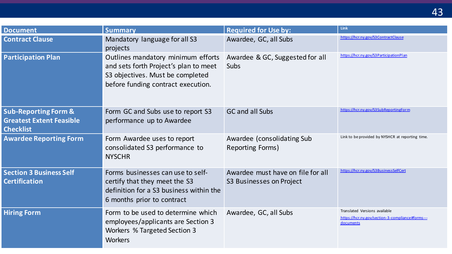| <b>Document</b>                                                                        | <b>Summary</b>                                                                                                                                        | <b>Required for Use by:</b>                                   | Link                                                                                           |
|----------------------------------------------------------------------------------------|-------------------------------------------------------------------------------------------------------------------------------------------------------|---------------------------------------------------------------|------------------------------------------------------------------------------------------------|
| <b>Contract Clause</b>                                                                 | Mandatory language for all S3<br>projects                                                                                                             | Awardee, GC, all Subs                                         | https://hcr.ny.gov/S3ContractClause                                                            |
| <b>Participation Plan</b>                                                              | Outlines mandatory minimum efforts<br>and sets forth Project's plan to meet<br>S3 objectives. Must be completed<br>before funding contract execution. | Awardee & GC, Suggested for all<br>Subs                       | https://hcr.ny.gov/S3ParticipationPlan                                                         |
| <b>Sub-Reporting Form &amp;</b><br><b>Greatest Extent Feasible</b><br><b>Checklist</b> | Form GC and Subs use to report S3<br>performance up to Awardee                                                                                        | GC and all Subs                                               | https://hcr.ny.gov/S3SubReportingForm                                                          |
| <b>Awardee Reporting Form</b>                                                          | Form Awardee uses to report<br>consolidated S3 performance to<br><b>NYSCHR</b>                                                                        | Awardee (consolidating Sub<br>Reporting Forms)                | Link to be provided by NYSHCR at reporting time.                                               |
| <b>Section 3 Business Self</b><br><b>Certification</b>                                 | Forms businesses can use to self-<br>certify that they meet the S3<br>definition for a S3 business within the<br>6 months prior to contract           | Awardee must have on file for all<br>S3 Businesses on Project | https://hcr.ny.gov/S3BusinessSelfCert                                                          |
| <b>Hiring Form</b>                                                                     | Form to be used to determine which<br>employees/applicants are Section 3<br>Workers % Targeted Section 3<br>Workers                                   | Awardee, GC, all Subs                                         | Translated Versions available<br>https://hcr.nv.gov/section-3-compliance#forms---<br>documents |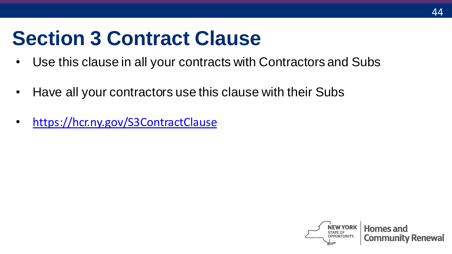## **Section 3 Contract Clause**

- Use this clause in all your contracts with Contractors and Subs
- Have all your contractors use this clause with their Subs
- <https://hcr.ny.gov/S3ContractClause>

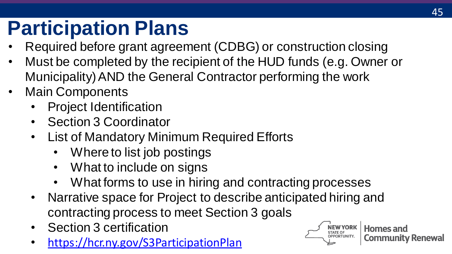# **Participation Plans**

- Required before grant agreement (CDBG) or construction closing
- Must be completed by the recipient of the HUD funds (e.g. Owner or Municipality) AND the General Contractor performing the work
- Main Components
	- Project Identification
	- Section 3 Coordinator
	- List of Mandatory Minimum Required Efforts
		- Where to list job postings
		- What to include on signs
		- What forms to use in hiring and contracting processes
	- Narrative space for Project to describe anticipated hiring and contracting process to meet Section 3 goals
	- Section 3 certification
	- <https://hcr.ny.gov/S3ParticipationPlan>

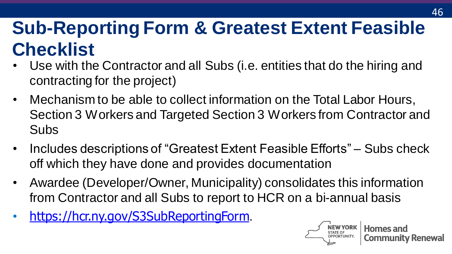### **Sub-Reporting Form & Greatest Extent Feasible Checklist**

- Use with the Contractor and all Subs (i.e. entities that do the hiring and contracting for the project)
- Mechanism to be able to collect information on the Total Labor Hours, Section 3 Workers and Targeted Section 3 Workers from Contractor and Subs
- Includes descriptions of "Greatest Extent Feasible Efforts" Subs check off which they have done and provides documentation
- Awardee (Developer/Owner, Municipality) consolidates this information from Contractor and all Subs to report to HCR on a bi-annual basis
- <https://hcr.ny.gov/S3SubReportingForm>.

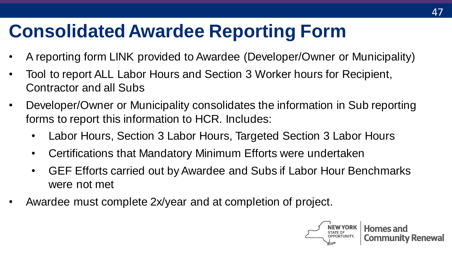### **Consolidated Awardee Reporting Form**

- A reporting form LINK provided to Awardee (Developer/Owner or Municipality)
- Tool to report ALL Labor Hours and Section 3 Worker hours for Recipient, Contractor and all Subs
- Developer/Owner or Municipality consolidates the information in Sub reporting forms to report this information to HCR. Includes:
	- Labor Hours, Section 3 Labor Hours, Targeted Section 3 Labor Hours
	- Certifications that Mandatory Minimum Efforts were undertaken
	- GEF Efforts carried out by Awardee and Subs if Labor Hour Benchmarks were not met
- Awardee must complete 2x/year and at completion of project.

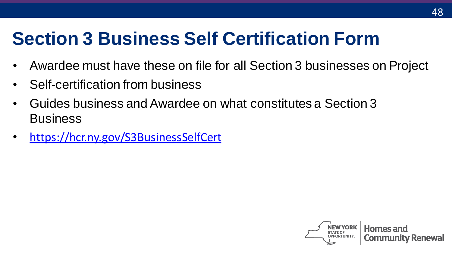### **Section 3 Business Self Certification Form**

- Awardee must have these on file for all Section 3 businesses on Project
- Self-certification from business
- Guides business and Awardee on what constitutes a Section 3 **Business**
- <https://hcr.ny.gov/S3BusinessSelfCert>

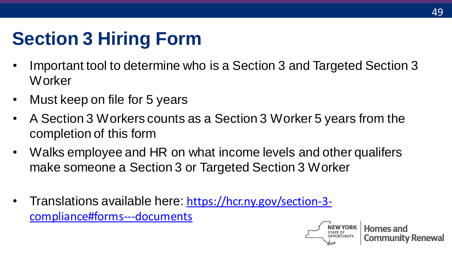### **Section 3 Hiring Form**

- Important tool to determine who is a Section 3 and Targeted Section 3 Worker
- Must keep on file for 5 years
- A Section 3 Workers counts as a Section 3 Worker 5 years from the completion of this form
- Walks employee and HR on what income levels and other qualifers make someone a Section 3 or Targeted Section 3 Worker
- Translations available here: https://hcr.ny.gov/section-3[compliance#forms---documents](https://hcr.ny.gov/section-3-compliance)

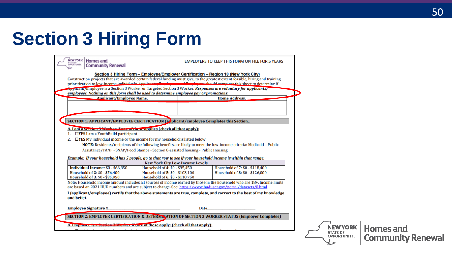### **Section 3 Hiring Form**

| <b>NEW YORK</b><br><b>Homes and</b><br><b>STATE OF</b><br>OPPORTUNITY.<br><b>Community Renewal</b>            |                                                                                                                                                                                                       | <b>EMPLOYERS TO KEEP THIS FORM ON FILE FOR 5 YEARS</b>                                                                                                                                                                                                     |  |
|---------------------------------------------------------------------------------------------------------------|-------------------------------------------------------------------------------------------------------------------------------------------------------------------------------------------------------|------------------------------------------------------------------------------------------------------------------------------------------------------------------------------------------------------------------------------------------------------------|--|
|                                                                                                               | Section 3 Hiring Form - Employee/Employer Certification - Region 10 (New York City)<br>Applicant/Employee is a Section 3 Worker or Targeted Section 3 Worker. Responses are voluntary for applicants/ | Construction projects that are awarded certain federal funding must give, to the greatest extent feasible, hiring and training<br>prioritization to low-income individuals. Applicants, Employees and Employers should complete this sheet to determine if |  |
| employees. Nothing on this form shall be used to determine employee pay or promotions.                        |                                                                                                                                                                                                       |                                                                                                                                                                                                                                                            |  |
| <b>Applicant/Employee Name:</b>                                                                               |                                                                                                                                                                                                       | <b>Home Address:</b>                                                                                                                                                                                                                                       |  |
|                                                                                                               |                                                                                                                                                                                                       |                                                                                                                                                                                                                                                            |  |
|                                                                                                               |                                                                                                                                                                                                       |                                                                                                                                                                                                                                                            |  |
| SECTION 1: APPLICANT/EMPLOYEE CERTIFICATION (A) plicant/Employee Completes this Section                       |                                                                                                                                                                                                       |                                                                                                                                                                                                                                                            |  |
|                                                                                                               |                                                                                                                                                                                                       |                                                                                                                                                                                                                                                            |  |
| A. I am a secuon 3 Worker if one of these applies (check all that apply):                                     |                                                                                                                                                                                                       |                                                                                                                                                                                                                                                            |  |
| 1. <b>CIYES</b> I am a YouthBuild participant                                                                 |                                                                                                                                                                                                       |                                                                                                                                                                                                                                                            |  |
| 2.                                                                                                            | $\Box$ <b>YES</b> My individual income or the income for my household is listed below                                                                                                                 |                                                                                                                                                                                                                                                            |  |
|                                                                                                               |                                                                                                                                                                                                       | NOTE: Residents/recipients of the following benefits are likely to meet the low-income criteria: Medicaid - Public                                                                                                                                         |  |
|                                                                                                               | Assistance/TANF - SNAP/Food Stamps - Section 8-assisted housing - Public Housing                                                                                                                      |                                                                                                                                                                                                                                                            |  |
| Example: If your household has 5 people, go to that row to see if your household income is within that range. |                                                                                                                                                                                                       |                                                                                                                                                                                                                                                            |  |
|                                                                                                               | <b>New York City Low-Income Levels</b>                                                                                                                                                                |                                                                                                                                                                                                                                                            |  |
| Individual Income: \$0 - \$66,850                                                                             | Household of 4: \$0 - \$95,450                                                                                                                                                                        | Household of 7: \$0 - \$118,400                                                                                                                                                                                                                            |  |
| Household of 2: \$0 - \$76,400                                                                                | Household of 5: \$0 - \$103,100                                                                                                                                                                       | Household of 8: \$0 - \$126,000                                                                                                                                                                                                                            |  |
| Household of 3: \$0 - \$85,950                                                                                | Household of 6: \$0 - \$110,750                                                                                                                                                                       |                                                                                                                                                                                                                                                            |  |
|                                                                                                               |                                                                                                                                                                                                       | Note: Household income amount includes all sources of income earned by those in the household who are 18+. Income limits                                                                                                                                   |  |
|                                                                                                               |                                                                                                                                                                                                       |                                                                                                                                                                                                                                                            |  |
|                                                                                                               | are based on 2021 HUD numbers and are subject to change. See: https://www.huduser.gov/portal/datasets/il.html                                                                                         |                                                                                                                                                                                                                                                            |  |
|                                                                                                               |                                                                                                                                                                                                       | I (applicant/emplovee) certify that the above statements are true, complete, and correct to the best of my knowledge                                                                                                                                       |  |
| and belief.<br><b>Employee Signature X_</b>                                                                   |                                                                                                                                                                                                       | Date                                                                                                                                                                                                                                                       |  |
|                                                                                                               |                                                                                                                                                                                                       | <b>SECTION 2: EMPLOYER CERTIFICATION &amp; DETERMNATION OF SECTION 3 WORKER STATUS (Employer Completes)</b>                                                                                                                                                |  |

NEW YORK **Homes and Community Renewal**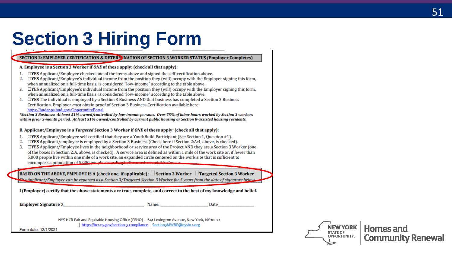### **Section 3 Hiring Form**

#### SECTION 2: EMPLOYER CERTIFICATION & DETERMINATION OF SECTION 3 WORKER STATUS (Employer Completes)

#### A. Employee is a Section 3 Worker if ONE of these apply: (check all that apply):

- 1. **OYES** Applicant/Employee checked one of the items above and signed the self-certification above.
- $\Box$ **YES** Applicant/Employee's individual income from the position they (will) occupy with the Employer signing this form, 2. when annualized on a full-time basis, is considered "low-income" according to the table above.
- 3. EYES Applicant/Employee's individual income from the position they (will) occupy with the Employer signing this form. when annualized on a full-time basis, is considered "low-income" according to the table above.
- 4. EYES The individual is employed by a Section 3 Business AND that business has completed a Section 3 Business Certification. Employer must obtain proof of Section 3 Business Certification available here: https://hudapps.hud.gov/OpportunityPortal

\*Section 3 Business: At least 51% owned/controlled by low-income persons. Over 75% of labor hours worked by Section 3 workers within prior 3-month period. At least 51% owned/controlled by current public housing or Section 8-assisted housing residents.

#### B. Applicant/Employee is a Targeted Section 3 Worker if ONE of these apply: (check all that apply):

- $\Box$ **YES** Applicant/Employee self-certified that they are a YouthBuild Participant (See Section 1, Question #1).  $1.$
- $\Box$ **YES** Applicant/employee is employed by a Section 3 Business (Check here if Section 2:A:4, above, is checked). 2.
- 3. **EYES** Applicant/Employee lives in the neighborhood or service area of the Project AND they are a Section 3 Worker (one of the boxes in Section 2:A, above, is checked). A service area is defined as within 1 mile of the work site or, if fewer than 5,000 people live within one mile of a work site, an expanded circle centered on the work site that is sufficient to encompass a population of 5,000 people according to the most recent U.S. Concus

**BASED ON THE ABOVE, EMPLOYE IS A (check one, if applicable):**  $\Box$  **Section 3 Worker**  $\Box$  **Targeted Section 3 Worker** The Applicant/Employee can be reported as a Section 3/Targeted Section 3 Worker for 5 years from the date of signature below

I (Employer) certify that the above statements are true, complete, and correct to the best of my knowledge and belief.

Employer Signature X

Name: and the same of the same of the same of the same of the same of the same of the same of the same of the same of the same of the same of the same of the same of the same of the same of the same of the same of the same

Date

NYS HCR Fair and Equitable Housing Office (FEHO) - 641 Lexington Avenue, New York, NY 10022 https://hcr.nv.gov/section-3-compliance | Section3MWBE@nvshcr.org

Form date: 12/1/2021

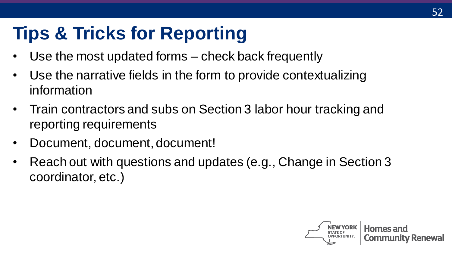### **Tips & Tricks for Reporting**

- Use the most updated forms check back frequently
- Use the narrative fields in the form to provide contextualizing information
- Train contractors and subs on Section 3 labor hour tracking and reporting requirements
- Document, document, document!
- Reach out with questions and updates (e.g., Change in Section 3 coordinator, etc.)

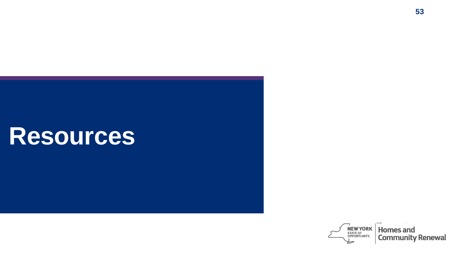# **Resources**

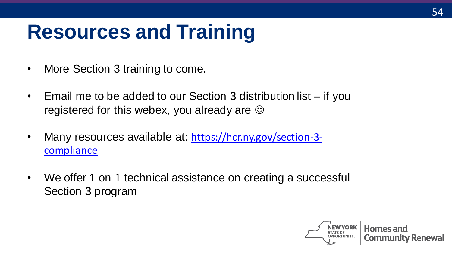### **Resources and Training**

- More Section 3 training to come.
- Email me to be added to our Section 3 distribution list if you registered for this webex, you already are  $\odot$
- [Many resources available at:](https://hcr.ny.gov/section-3-compliance) https://hcr.ny.gov/section-3 compliance
- We offer 1 on 1 technical assistance on creating a successful Section 3 program